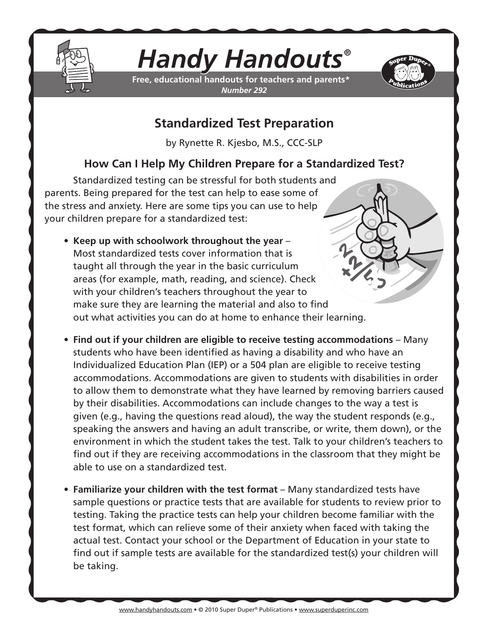

## *Handy Handouts®*

**Free, educational handouts for teachers and parents\*** *Number 292*



## **Standardized Test Preparation**

by Rynette R. Kjesbo, M.S., CCC-SLP

## **How Can I Help My Children Prepare for a Standardized Test?**

Standardized testing can be stressful for both students and parents. Being prepared for the test can help to ease some of the stress and anxiety. Here are some tips you can use to help your children prepare for a standardized test:

- **• Keep up with schoolwork throughout the year** Most standardized tests cover information that is taught all through the year in the basic curriculum areas (for example, math, reading, and science). Check with your children's teachers throughout the year to make sure they are learning the material and also to find out what activities you can do at home to enhance their learning.
- **• Find out if your children are eligible to receive testing accommodations** Many students who have been identified as having a disability and who have an Individualized Education Plan (IEP) or a 504 plan are eligible to receive testing accommodations. Accommodations are given to students with disabilities in order to allow them to demonstrate what they have learned by removing barriers caused by their disabilities. Accommodations can include changes to the way a test is given (e.g., having the questions read aloud), the way the student responds (e.g., speaking the answers and having an adult transcribe, or write, them down), or the environment in which the student takes the test. Talk to your children's teachers to find out if they are receiving accommodations in the classroom that they might be able to use on a standardized test.
- **• Familiarize your children with the test format** Many standardized tests have sample questions or practice tests that are available for students to review prior to testing. Taking the practice tests can help your children become familiar with the test format, which can relieve some of their anxiety when faced with taking the actual test. Contact your school or the Department of Education in your state to find out if sample tests are available for the standardized test(s) your children will be taking.